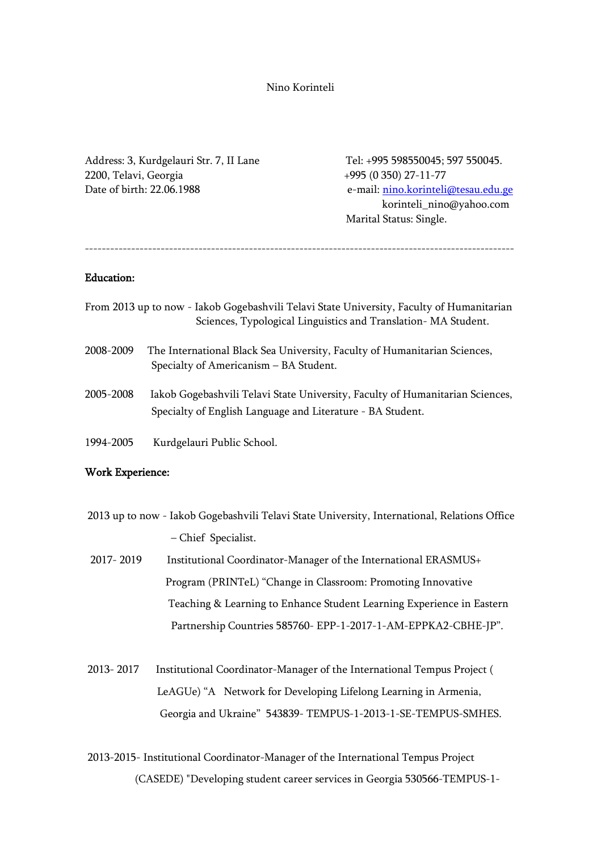Nino Korinteli

Address: 3, Kurdgelauri Str. 7, II Lane Tel: +995 598550045; 597 550045. 2200, Telavi, Georgia +995 (0 350) 27-11-77 Date of birth: 22.06.1988 e-mail: nino.korinteli@tesau.edu.ge

 korinteli\_nino@yahoo.com Marital Status: Single.

------------------------------------------------------------------------------------------------------

## Education:

- From 2013 up to now Iakob Gogebashvili Telavi State University, Faculty of Humanitarian Sciences, Typological Linguistics and Translation- MA Student.
- 2008-2009 The International Black Sea University, Faculty of Humanitarian Sciences, Specialty of Americanism – BA Student.
- 2005-2008 Iakob Gogebashvili Telavi State University, Faculty of Humanitarian Sciences, Specialty of English Language and Literature - BA Student.
- 1994-2005 Kurdgelauri Public School.

#### Work Experience:

- 2013 up to now Iakob Gogebashvili Telavi State University, International, Relations Office – Chief Specialist.
- 2017- 2019 Institutional Coordinator-Manager of the International ERASMUS+ Program (PRINTeL) "Change in Classroom: Promoting Innovative Teaching & Learning to Enhance Student Learning Experience in Eastern Partnership Countries 585760- EPP-1-2017-1-AM-EPPKA2-CBHE-JP".
- 2013- 2017 Institutional Coordinator-Manager of the International Tempus Project ( LeAGUe) "A Network for Developing Lifelong Learning in Armenia, Georgia and Ukraine" 543839- TEMPUS-1-2013-1-SE-TEMPUS-SMHES.
- 2013-2015- Institutional Coordinator-Manager of the International Tempus Project (CASEDE) "Developing student career services in Georgia 530566-TEMPUS-1-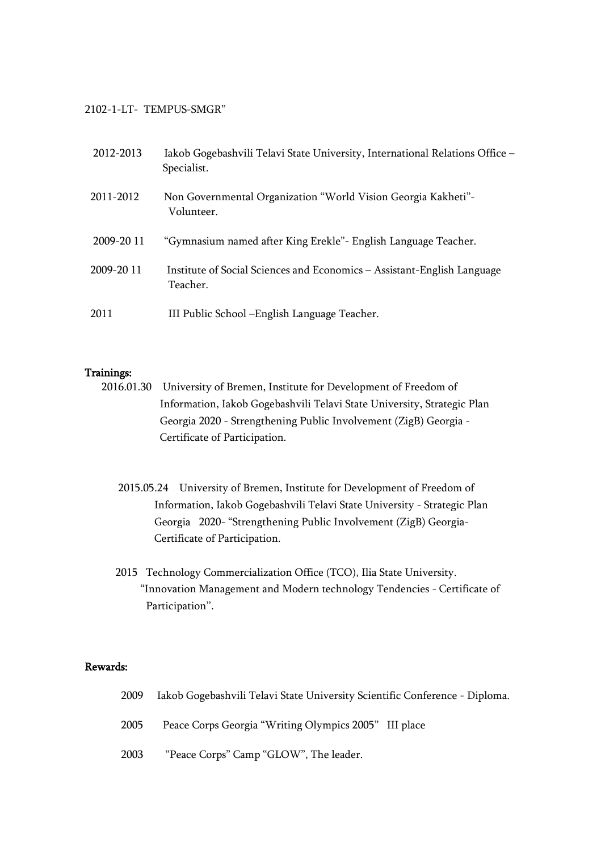### 2102-1-LT- TEMPUS-SMGR"

| 2012-2013  | Iakob Gogebashvili Telavi State University, International Relations Office -<br>Specialist. |  |
|------------|---------------------------------------------------------------------------------------------|--|
| 2011-2012  | Non Governmental Organization "World Vision Georgia Kakheti"-<br>Volunteer.                 |  |
| 2009-20 11 | "Gymnasium named after King Erekle" - English Language Teacher.                             |  |
| 2009-20 11 | Institute of Social Sciences and Economics – Assistant-English Language<br>Teacher.         |  |
| 2011       | III Public School – English Language Teacher.                                               |  |

### Trainings:

- 2016.01.30 University of Bremen, Institute for Development of Freedom of Information, Iakob Gogebashvili Telavi State University, Strategic Plan Georgia 2020 - Strengthening Public Involvement (ZigB) Georgia - Certificate of Participation.
	- 2015.05.24 University of Bremen, Institute for Development of Freedom of Information, Iakob Gogebashvili Telavi State University - Strategic Plan Georgia 2020- "Strengthening Public Involvement (ZigB) Georgia- Certificate of Participation.
	- 2015 Technology Commercialization Office (TCO), Ilia State University. "Innovation Management and Modern technology Tendencies - Certificate of Participation''.

# Rewards:

|  |  |  | 2009 Iakob Gogebashvili Telavi State University Scientific Conference - Diploma. |
|--|--|--|----------------------------------------------------------------------------------|
|--|--|--|----------------------------------------------------------------------------------|

- 2005 Peace Corps Georgia "Writing Olympics 2005" III place
- 2003 "Peace Corps" Camp "GLOW", The leader.